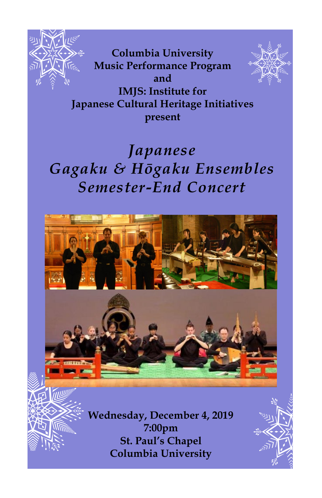

**ITTE** 

**Columbia University Music Performance Program and IMJS: Institute for Japanese Cultural Heritage Initiatives present**





**Wednesday, December 4, 2019 7:00pm St. Paul's Chapel Columbia University**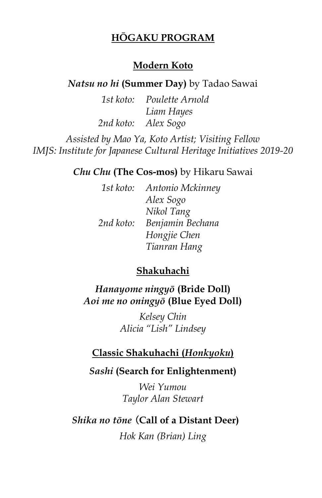# **HŌGAKU PROGRAM**

# **Modern Koto**

## *Natsu no hi* **(Summer Day)** by Tadao Sawai

*1st koto: Poulette Arnold Liam Hayes 2nd koto: Alex Sogo*

*Assisted by Mao Ya, Koto Artist; Visiting Fellow IMJS: Institute for Japanese Cultural Heritage Initiatives 2019-20* 

## *Chu Chu* **(The Cos-mos)** by Hikaru Sawai

| 1st koto: | Antonio Mckinney |
|-----------|------------------|
|           | Alex Sogo        |
|           | Nikol Tang       |
| 2nd koto: | Benjamin Bechana |
|           | Hongjie Chen     |
|           | Tianran Hang     |
|           |                  |

#### **Shakuhachi**

*Hanayome ningyō* **(Bride Doll)**  *Aoi me no oningyō* **(Blue Eyed Doll)**

> *Kelsey Chin Alicia "Lish" Lindsey*

#### **Classic Shakuhachi (***Honkyoku***)**

# *Sashi* **(Search for Enlightenment)**

*Wei Yumou Taylor Alan Stewart*

# *Shika no tōne* (**Call of a Distant Deer)**

*Hok Kan (Brian) Ling*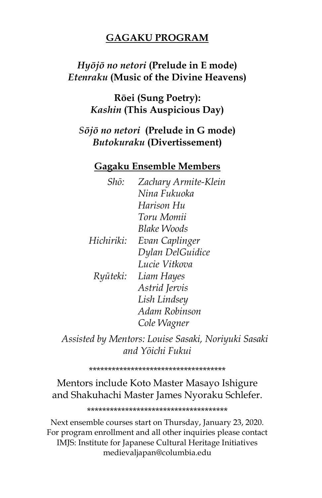# **GAGAKU PROGRAM**

# Hyōjō no netori (Prelude in E mode) **Etenraku** (Music of the Divine Heavens)

Rōei (Sung Poetry): Kashin (This Auspicious Day)

Sōjō no netori (Prelude in G mode) Butokuraku (Divertissement)

### **Gagaku Ensemble Members**

| Shō:       | Zachary Armite-Klein |
|------------|----------------------|
|            | Nina Fukuoka         |
|            | Harison Hu           |
|            | Toru Momii           |
|            | Blake Woods          |
| Hichiriki: | Evan Caplinger       |
|            | Dylan DelGuidice     |
|            | Lucie Vitkova        |
| Ryūteki:   | Liam Hayes           |
|            | Astrid Jervis        |
|            | Lish Lindsey         |
|            | Adam Robinson        |
|            | Cole Wagner          |
|            |                      |

Assisted by Mentors: Louise Sasaki, Noriyuki Sasaki and Yōichi Fukui

#### \*\*\*\*\*\*\*\*\*\*\*\*\*\*\*\*\*\*\*\*\*\*\*\*\*\*\*\*\*\*\*\*\*\*\*\*\*

# Mentors include Koto Master Masayo Ishigure and Shakuhachi Master James Nyoraku Schlefer.

\*\*\*\*\*\*\*\*\*\*\*\*\*\*\*\*\*\*\*\*\*\*\*\*\*\*\*\*\*\*\*\*\*\*\*\*\*\*

Next ensemble courses start on Thursday, January 23, 2020. For program enrollment and all other inquiries please contact IMJS: Institute for Japanese Cultural Heritage Initiatives medievaljapan@columbia.edu